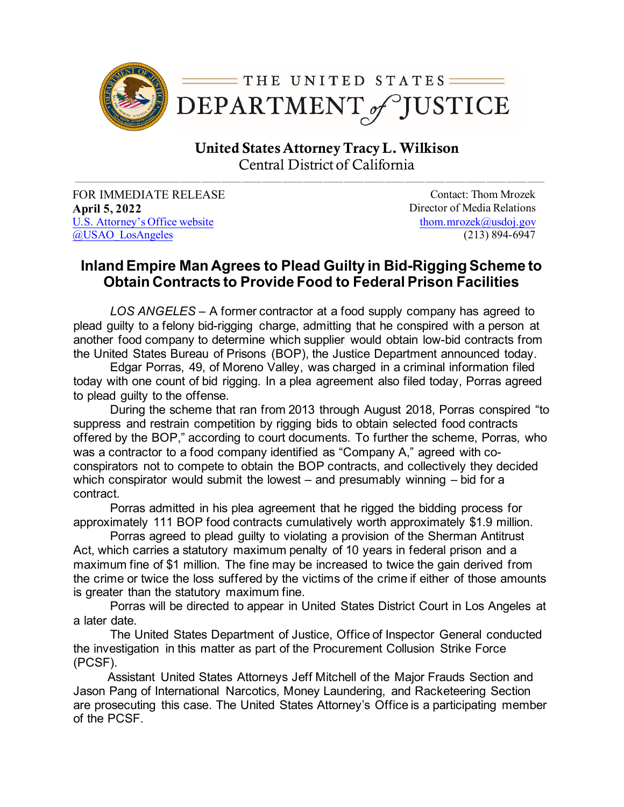

United States AttorneyTracy L. Wilkison Central District of California

FOR IMMEDIATE RELEASE Contact: Thom Mrozek **April 5, 2022** Director of Media Relations U.S. [Attorney's Office website](https://www.justice.gov/usao-cdca) [@USAO\\_LosAngeles](https://twitter.com/USAO_LosAngeles)

[thom.mrozek@usdoj.gov](mailto:thom.mrozek@usdoj.gov) (213) 894-6947

## **Inland Empire Man Agrees to Plead Guilty in Bid-Rigging Scheme to Obtain Contracts to Provide Food to Federal Prison Facilities**

*LOS ANGELES* – A former contractor at a food supply company has agreed to plead guilty to a felony bid-rigging charge, admitting that he conspired with a person at another food company to determine which supplier would obtain low-bid contracts from the United States Bureau of Prisons (BOP), the Justice Department announced today.

Edgar Porras, 49, of Moreno Valley, was charged in a criminal information filed today with one count of bid rigging. In a plea agreement also filed today, Porras agreed to plead guilty to the offense.

During the scheme that ran from 2013 through August 2018, Porras conspired "to suppress and restrain competition by rigging bids to obtain selected food contracts offered by the BOP," according to court documents. To further the scheme, Porras, who was a contractor to a food company identified as "Company A," agreed with coconspirators not to compete to obtain the BOP contracts, and collectively they decided which conspirator would submit the lowest – and presumably winning – bid for a contract.

Porras admitted in his plea agreement that he rigged the bidding process for approximately 111 BOP food contracts cumulatively worth approximately \$1.9 million.

Porras agreed to plead guilty to violating a provision of the Sherman Antitrust Act, which carries a statutory maximum penalty of 10 years in federal prison and a maximum fine of \$1 million. The fine may be increased to twice the gain derived from the crime or twice the loss suffered by the victims of the crime if either of those amounts is greater than the statutory maximum fine.

Porras will be directed to appear in United States District Court in Los Angeles at a later date.

The United States Department of Justice, Office of Inspector General conducted the investigation in this matter as part of the Procurement Collusion Strike Force (PCSF).

 Assistant United States Attorneys Jeff Mitchell of the Major Frauds Section and Jason Pang of International Narcotics, Money Laundering, and Racketeering Section are prosecuting this case. The United States Attorney's Office is a participating member of the PCSF.